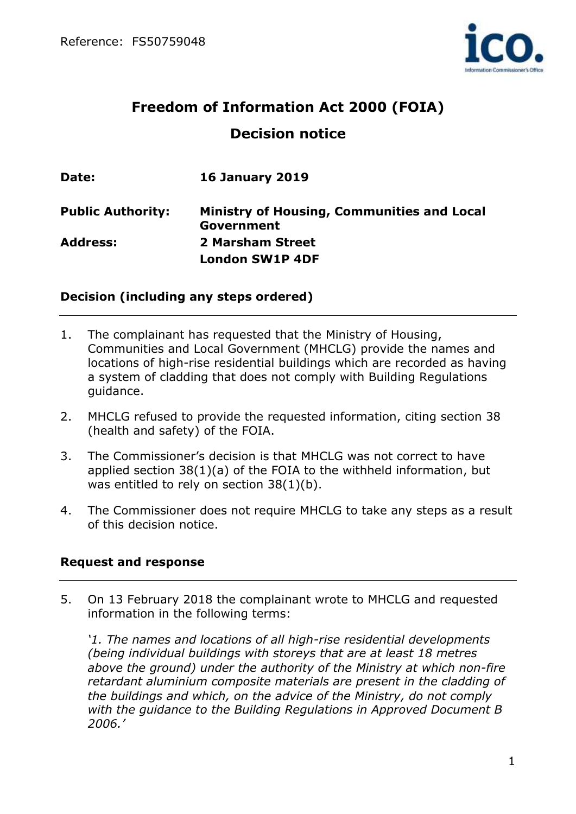

# **Freedom of Information Act 2000 (FOIA) Decision notice**

| Date:                    | <b>16 January 2019</b>                                   |
|--------------------------|----------------------------------------------------------|
| <b>Public Authority:</b> | Ministry of Housing, Communities and Local<br>Government |
| <b>Address:</b>          | 2 Marsham Street                                         |
|                          | <b>London SW1P 4DF</b>                                   |

## **Decision (including any steps ordered)**

- 1. The complainant has requested that the Ministry of Housing, Communities and Local Government (MHCLG) provide the names and locations of high-rise residential buildings which are recorded as having a system of cladding that does not comply with Building Regulations guidance.
- 2. MHCLG refused to provide the requested information, citing section 38 (health and safety) of the FOIA.
- 3. The Commissioner's decision is that MHCLG was not correct to have applied section 38(1)(a) of the FOIA to the withheld information, but was entitled to rely on section 38(1)(b).
- 4. The Commissioner does not require MHCLG to take any steps as a result of this decision notice.

#### **Request and response**

5. On 13 February 2018 the complainant wrote to MHCLG and requested information in the following terms:

*'1. The names and locations of all high-rise residential developments (being individual buildings with storeys that are at least 18 metres above the ground) under the authority of the Ministry at which non-fire retardant aluminium composite materials are present in the cladding of the buildings and which, on the advice of the Ministry, do not comply with the guidance to the Building Regulations in Approved Document B 2006.'*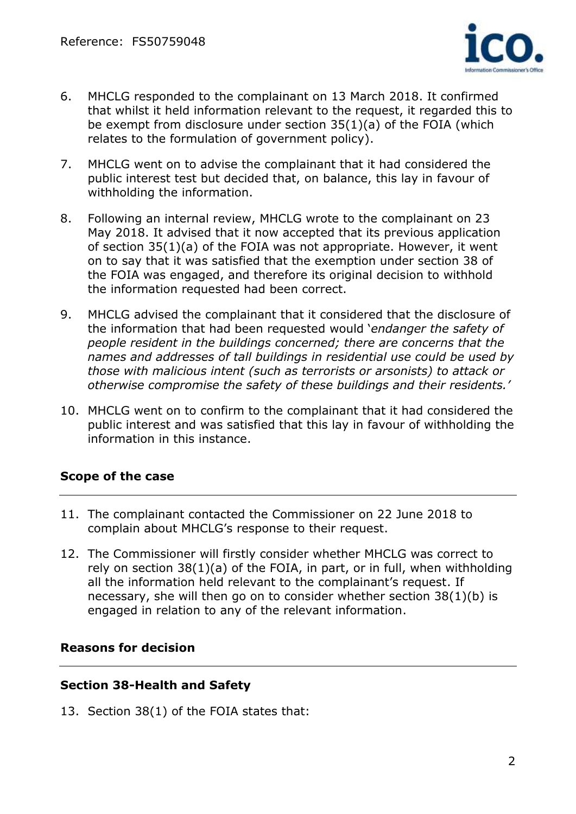

- 6. MHCLG responded to the complainant on 13 March 2018. It confirmed that whilst it held information relevant to the request, it regarded this to be exempt from disclosure under section 35(1)(a) of the FOIA (which relates to the formulation of government policy).
- 7. MHCLG went on to advise the complainant that it had considered the public interest test but decided that, on balance, this lay in favour of withholding the information.
- 8. Following an internal review, MHCLG wrote to the complainant on 23 May 2018. It advised that it now accepted that its previous application of section 35(1)(a) of the FOIA was not appropriate. However, it went on to say that it was satisfied that the exemption under section 38 of the FOIA was engaged, and therefore its original decision to withhold the information requested had been correct.
- 9. MHCLG advised the complainant that it considered that the disclosure of the information that had been requested would '*endanger the safety of people resident in the buildings concerned; there are concerns that the names and addresses of tall buildings in residential use could be used by those with malicious intent (such as terrorists or arsonists) to attack or otherwise compromise the safety of these buildings and their residents.'*
- 10. MHCLG went on to confirm to the complainant that it had considered the public interest and was satisfied that this lay in favour of withholding the information in this instance.

# **Scope of the case**

- 11. The complainant contacted the Commissioner on 22 June 2018 to complain about MHCLG's response to their request.
- 12. The Commissioner will firstly consider whether MHCLG was correct to rely on section 38(1)(a) of the FOIA, in part, or in full, when withholding all the information held relevant to the complainant's request. If necessary, she will then go on to consider whether section 38(1)(b) is engaged in relation to any of the relevant information.

# **Reasons for decision**

#### **Section 38-Health and Safety**

13. Section 38(1) of the FOIA states that: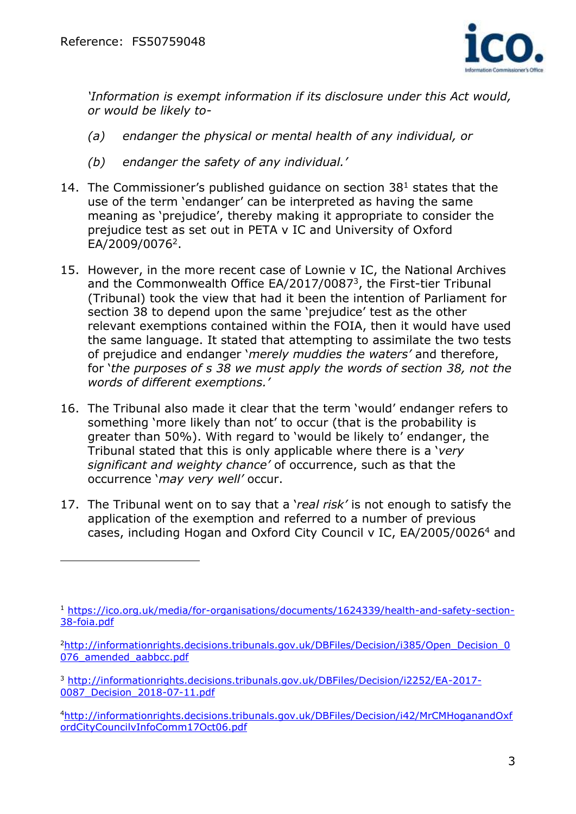

*'Information is exempt information if its disclosure under this Act would, or would be likely to-*

- *(a) endanger the physical or mental health of any individual, or*
- *(b) endanger the safety of any individual.'*
- 14. The Commissioner's published quidance on section  $38<sup>1</sup>$  states that the use of the term 'endanger' can be interpreted as having the same meaning as 'prejudice', thereby making it appropriate to consider the prejudice test as set out in PETA v IC and University of Oxford EA/2009/0076<sup>2</sup> .
- 15. However, in the more recent case of Lownie v IC, the National Archives and the Commonwealth Office EA/2017/0087<sup>3</sup>, the First-tier Tribunal (Tribunal) took the view that had it been the intention of Parliament for section 38 to depend upon the same 'prejudice' test as the other relevant exemptions contained within the FOIA, then it would have used the same language. It stated that attempting to assimilate the two tests of prejudice and endanger '*merely muddies the waters'* and therefore, for '*the purposes of s 38 we must apply the words of section 38, not the words of different exemptions.'*
- 16. The Tribunal also made it clear that the term 'would' endanger refers to something 'more likely than not' to occur (that is the probability is greater than 50%). With regard to 'would be likely to' endanger, the Tribunal stated that this is only applicable where there is a '*very significant and weighty chance'* of occurrence, such as that the occurrence '*may very well'* occur.
- 17. The Tribunal went on to say that a '*real risk'* is not enough to satisfy the application of the exemption and referred to a number of previous cases, including Hogan and Oxford City Council v IC, EA/2005/0026<sup>4</sup> and

<sup>1</sup> [https://ico.org.uk/media/for-organisations/documents/1624339/health-and-safety-section-](https://ico.org.uk/media/for-organisations/documents/1624339/health-and-safety-section-38-foia.pdf)[38-foia.pdf](https://ico.org.uk/media/for-organisations/documents/1624339/health-and-safety-section-38-foia.pdf)

<sup>&</sup>lt;sup>2</sup>[http://informationrights.decisions.tribunals.gov.uk/DBFiles/Decision/i385/Open\\_Decision\\_0](http://informationrights.decisions.tribunals.gov.uk/DBFiles/Decision/i385/Open_Decision_0076_amended_aabbcc.pdf) [076\\_amended\\_aabbcc.pdf](http://informationrights.decisions.tribunals.gov.uk/DBFiles/Decision/i385/Open_Decision_0076_amended_aabbcc.pdf)

<sup>3</sup> [http://informationrights.decisions.tribunals.gov.uk/DBFiles/Decision/i2252/EA-2017-](http://informationrights.decisions.tribunals.gov.uk/DBFiles/Decision/i2252/EA-2017-0087_Decision_2018-07-11.pdf) [0087\\_Decision\\_2018-07-11.pdf](http://informationrights.decisions.tribunals.gov.uk/DBFiles/Decision/i2252/EA-2017-0087_Decision_2018-07-11.pdf)

<sup>4</sup>[http://informationrights.decisions.tribunals.gov.uk/DBFiles/Decision/i42/MrCMHoganandOxf](http://informationrights.decisions.tribunals.gov.uk/DBFiles/Decision/i42/MrCMHoganandOxfordCityCouncilvInfoComm17Oct06.pdf) [ordCityCouncilvInfoComm17Oct06.pdf](http://informationrights.decisions.tribunals.gov.uk/DBFiles/Decision/i42/MrCMHoganandOxfordCityCouncilvInfoComm17Oct06.pdf)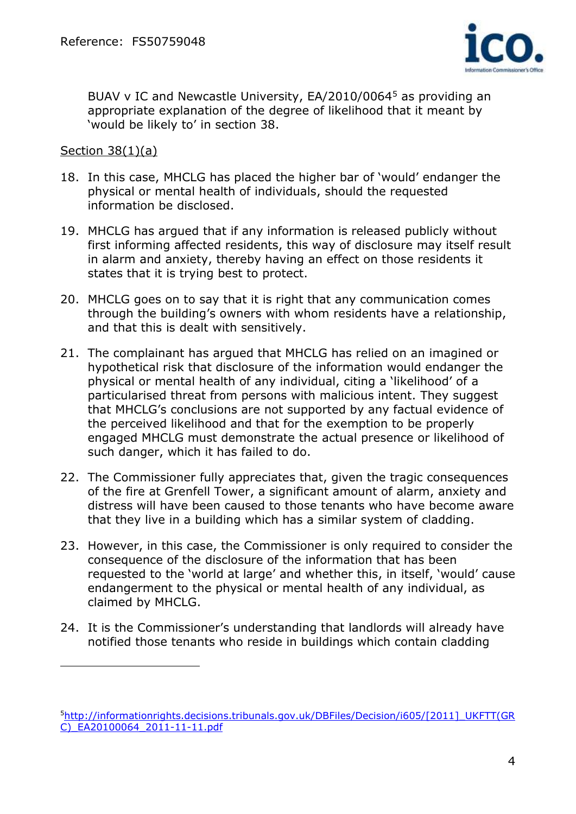

BUAV v IC and Newcastle University, EA/2010/0064<sup>5</sup> as providing an appropriate explanation of the degree of likelihood that it meant by 'would be likely to' in section 38.

#### Section 38(1)(a)

- 18. In this case, MHCLG has placed the higher bar of 'would' endanger the physical or mental health of individuals, should the requested information be disclosed.
- 19. MHCLG has argued that if any information is released publicly without first informing affected residents, this way of disclosure may itself result in alarm and anxiety, thereby having an effect on those residents it states that it is trying best to protect.
- 20. MHCLG goes on to say that it is right that any communication comes through the building's owners with whom residents have a relationship, and that this is dealt with sensitively.
- 21. The complainant has argued that MHCLG has relied on an imagined or hypothetical risk that disclosure of the information would endanger the physical or mental health of any individual, citing a 'likelihood' of a particularised threat from persons with malicious intent. They suggest that MHCLG's conclusions are not supported by any factual evidence of the perceived likelihood and that for the exemption to be properly engaged MHCLG must demonstrate the actual presence or likelihood of such danger, which it has failed to do.
- 22. The Commissioner fully appreciates that, given the tragic consequences of the fire at Grenfell Tower, a significant amount of alarm, anxiety and distress will have been caused to those tenants who have become aware that they live in a building which has a similar system of cladding.
- 23. However, in this case, the Commissioner is only required to consider the consequence of the disclosure of the information that has been requested to the 'world at large' and whether this, in itself, 'would' cause endangerment to the physical or mental health of any individual, as claimed by MHCLG.
- 24. It is the Commissioner's understanding that landlords will already have notified those tenants who reside in buildings which contain cladding

<sup>5</sup>[http://informationrights.decisions.tribunals.gov.uk/DBFiles/Decision/i605/\[2011\]\\_UKFTT\(GR](http://informationrights.decisions.tribunals.gov.uk/DBFiles/Decision/i605/%5b2011%5d_UKFTT(GRC)_EA20100064_2011-11-11.pdf) [C\)\\_EA20100064\\_2011-11-11.pdf](http://informationrights.decisions.tribunals.gov.uk/DBFiles/Decision/i605/%5b2011%5d_UKFTT(GRC)_EA20100064_2011-11-11.pdf)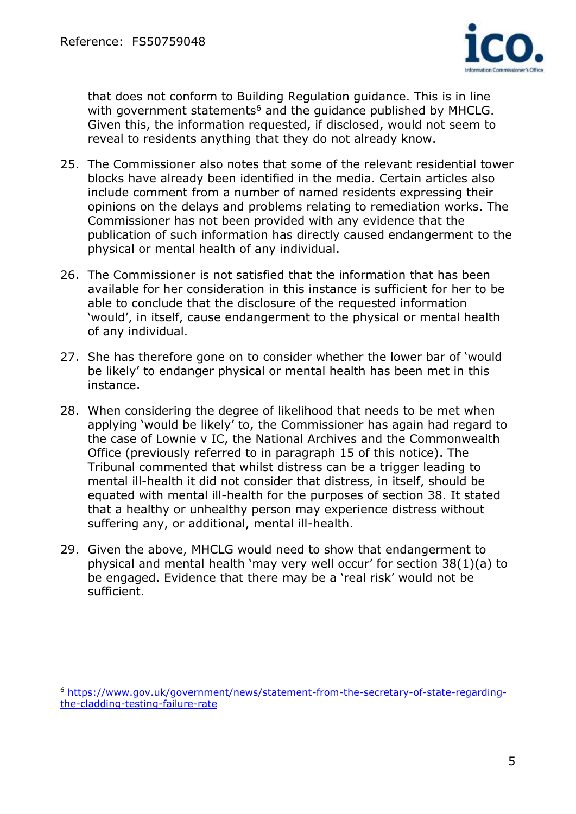

that does not conform to Building Regulation guidance. This is in line with government statements<sup>6</sup> and the guidance published by MHCLG. Given this, the information requested, if disclosed, would not seem to reveal to residents anything that they do not already know.

- 25. The Commissioner also notes that some of the relevant residential tower blocks have already been identified in the media. Certain articles also include comment from a number of named residents expressing their opinions on the delays and problems relating to remediation works. The Commissioner has not been provided with any evidence that the publication of such information has directly caused endangerment to the physical or mental health of any individual.
- 26. The Commissioner is not satisfied that the information that has been available for her consideration in this instance is sufficient for her to be able to conclude that the disclosure of the requested information 'would', in itself, cause endangerment to the physical or mental health of any individual.
- 27. She has therefore gone on to consider whether the lower bar of 'would be likely' to endanger physical or mental health has been met in this instance.
- 28. When considering the degree of likelihood that needs to be met when applying 'would be likely' to, the Commissioner has again had regard to the case of Lownie v IC, the National Archives and the Commonwealth Office (previously referred to in paragraph 15 of this notice). The Tribunal commented that whilst distress can be a trigger leading to mental ill-health it did not consider that distress, in itself, should be equated with mental ill-health for the purposes of section 38. It stated that a healthy or unhealthy person may experience distress without suffering any, or additional, mental ill-health.
- 29. Given the above, MHCLG would need to show that endangerment to physical and mental health 'may very well occur' for section 38(1)(a) to be engaged. Evidence that there may be a 'real risk' would not be sufficient.

<sup>6</sup> [https://www.gov.uk/government/news/statement-from-the-secretary-of-state-regarding](https://www.gov.uk/government/news/statement-from-the-secretary-of-state-regarding-the-cladding-testing-failure-rate)[the-cladding-testing-failure-rate](https://www.gov.uk/government/news/statement-from-the-secretary-of-state-regarding-the-cladding-testing-failure-rate)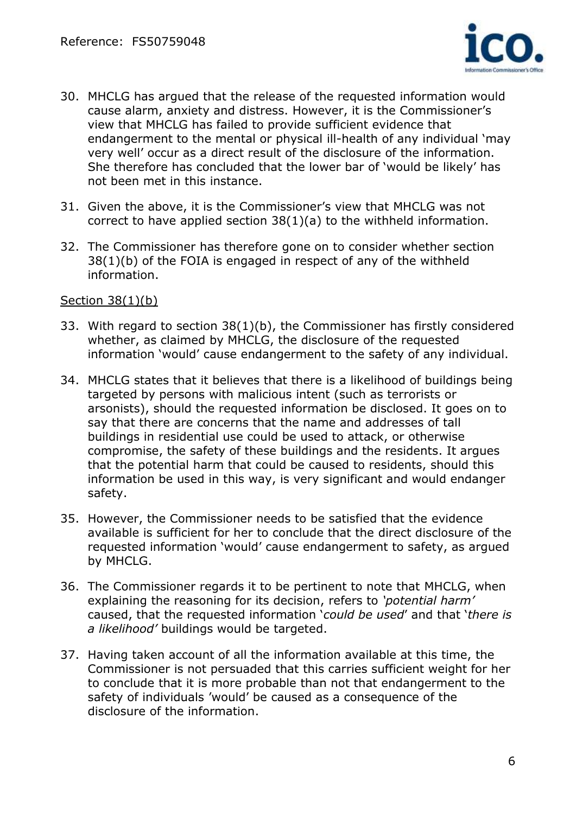

- 30. MHCLG has argued that the release of the requested information would cause alarm, anxiety and distress. However, it is the Commissioner's view that MHCLG has failed to provide sufficient evidence that endangerment to the mental or physical ill-health of any individual 'may very well' occur as a direct result of the disclosure of the information. She therefore has concluded that the lower bar of 'would be likely' has not been met in this instance.
- 31. Given the above, it is the Commissioner's view that MHCLG was not correct to have applied section 38(1)(a) to the withheld information.
- 32. The Commissioner has therefore gone on to consider whether section 38(1)(b) of the FOIA is engaged in respect of any of the withheld information.

#### Section 38(1)(b)

- 33. With regard to section 38(1)(b), the Commissioner has firstly considered whether, as claimed by MHCLG, the disclosure of the requested information 'would' cause endangerment to the safety of any individual.
- 34. MHCLG states that it believes that there is a likelihood of buildings being targeted by persons with malicious intent (such as terrorists or arsonists), should the requested information be disclosed. It goes on to say that there are concerns that the name and addresses of tall buildings in residential use could be used to attack, or otherwise compromise, the safety of these buildings and the residents. It argues that the potential harm that could be caused to residents, should this information be used in this way, is very significant and would endanger safety.
- 35. However, the Commissioner needs to be satisfied that the evidence available is sufficient for her to conclude that the direct disclosure of the requested information 'would' cause endangerment to safety, as argued by MHCLG.
- 36. The Commissioner regards it to be pertinent to note that MHCLG, when explaining the reasoning for its decision, refers to *'potential harm'* caused, that the requested information '*could be used*' and that '*there is a likelihood'* buildings would be targeted.
- 37. Having taken account of all the information available at this time, the Commissioner is not persuaded that this carries sufficient weight for her to conclude that it is more probable than not that endangerment to the safety of individuals 'would' be caused as a consequence of the disclosure of the information.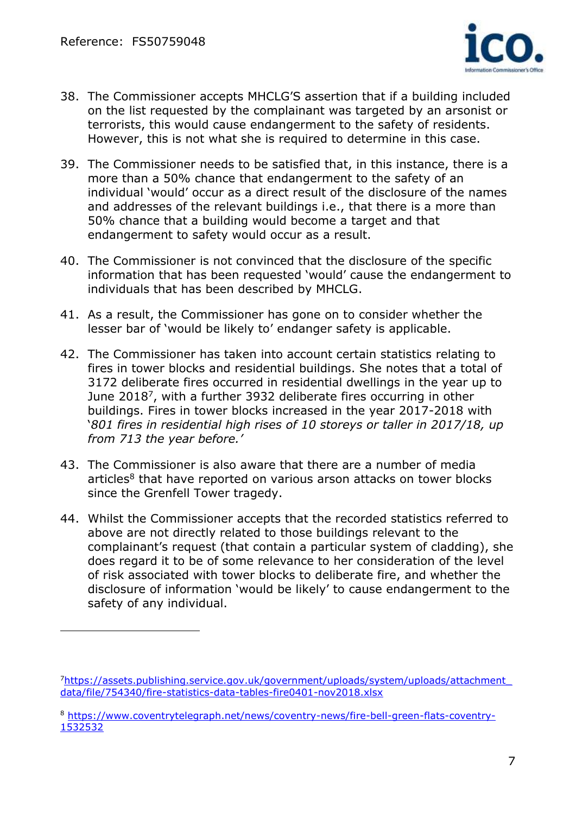

- 38. The Commissioner accepts MHCLG'S assertion that if a building included on the list requested by the complainant was targeted by an arsonist or terrorists, this would cause endangerment to the safety of residents. However, this is not what she is required to determine in this case.
- 39. The Commissioner needs to be satisfied that, in this instance, there is a more than a 50% chance that endangerment to the safety of an individual 'would' occur as a direct result of the disclosure of the names and addresses of the relevant buildings i.e., that there is a more than 50% chance that a building would become a target and that endangerment to safety would occur as a result.
- 40. The Commissioner is not convinced that the disclosure of the specific information that has been requested 'would' cause the endangerment to individuals that has been described by MHCLG.
- 41. As a result, the Commissioner has gone on to consider whether the lesser bar of 'would be likely to' endanger safety is applicable.
- 42. The Commissioner has taken into account certain statistics relating to fires in tower blocks and residential buildings. She notes that a total of 3172 deliberate fires occurred in residential dwellings in the year up to June 2018<sup>7</sup>, with a further 3932 deliberate fires occurring in other buildings. Fires in tower blocks increased in the year 2017-2018 with '*801 fires in residential high rises of 10 storeys or taller in 2017/18, up from 713 the year before.'*
- 43. The Commissioner is also aware that there are a number of media articles<sup>8</sup> that have reported on various arson attacks on tower blocks since the Grenfell Tower tragedy.
- 44. Whilst the Commissioner accepts that the recorded statistics referred to above are not directly related to those buildings relevant to the complainant's request (that contain a particular system of cladding), she does regard it to be of some relevance to her consideration of the level of risk associated with tower blocks to deliberate fire, and whether the disclosure of information 'would be likely' to cause endangerment to the safety of any individual.

<sup>7</sup>[https://assets.publishing.service.gov.uk/government/uploads/system/uploads/attachment\\_](https://assets.publishing.service.gov.uk/government/uploads/system/uploads/attachment_data/file/754340/fire-statistics-data-tables-fire0401-nov2018.xlsx) [data/file/754340/fire-statistics-data-tables-fire0401-nov2018.xlsx](https://assets.publishing.service.gov.uk/government/uploads/system/uploads/attachment_data/file/754340/fire-statistics-data-tables-fire0401-nov2018.xlsx)

<sup>8</sup> [https://www.coventrytelegraph.net/news/coventry-news/fire-bell-green-flats-coventry-](https://www.coventrytelegraph.net/news/coventry-news/fire-bell-green-flats-coventry-1532532)[1532532](https://www.coventrytelegraph.net/news/coventry-news/fire-bell-green-flats-coventry-1532532)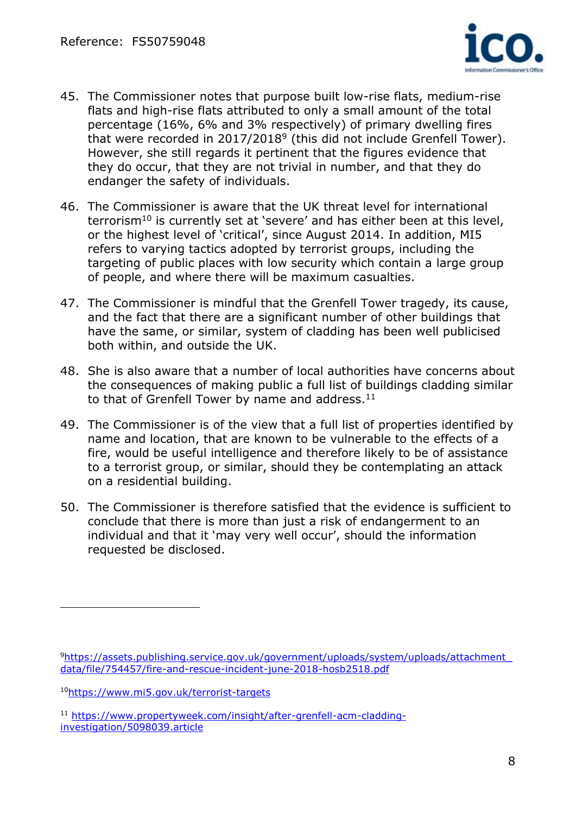

- 45. The Commissioner notes that purpose built low-rise flats, medium-rise flats and high-rise flats attributed to only a small amount of the total percentage (16%, 6% and 3% respectively) of primary dwelling fires that were recorded in 2017/2018<sup>9</sup> (this did not include Grenfell Tower). However, she still regards it pertinent that the figures evidence that they do occur, that they are not trivial in number, and that they do endanger the safety of individuals.
- 46. The Commissioner is aware that the UK threat level for international terrorism<sup>10</sup> is currently set at 'severe' and has either been at this level, or the highest level of 'critical', since August 2014. In addition, MI5 refers to varying tactics adopted by terrorist groups, including the targeting of public places with low security which contain a large group of people, and where there will be maximum casualties.
- 47. The Commissioner is mindful that the Grenfell Tower tragedy, its cause, and the fact that there are a significant number of other buildings that have the same, or similar, system of cladding has been well publicised both within, and outside the UK.
- 48. She is also aware that a number of local authorities have concerns about the consequences of making public a full list of buildings cladding similar to that of Grenfell Tower by name and address.<sup>11</sup>
- 49. The Commissioner is of the view that a full list of properties identified by name and location, that are known to be vulnerable to the effects of a fire, would be useful intelligence and therefore likely to be of assistance to a terrorist group, or similar, should they be contemplating an attack on a residential building.
- 50. The Commissioner is therefore satisfied that the evidence is sufficient to conclude that there is more than just a risk of endangerment to an individual and that it 'may very well occur', should the information requested be disclosed.

<sup>9</sup>[https://assets.publishing.service.gov.uk/government/uploads/system/uploads/attachment\\_](https://assets.publishing.service.gov.uk/government/uploads/system/uploads/attachment_data/file/754457/fire-and-rescue-incident-june-2018-hosb2518.pdf) [data/file/754457/fire-and-rescue-incident-june-2018-hosb2518.pdf](https://assets.publishing.service.gov.uk/government/uploads/system/uploads/attachment_data/file/754457/fire-and-rescue-incident-june-2018-hosb2518.pdf)

<sup>10</sup><https://www.mi5.gov.uk/terrorist-targets>

<sup>11</sup> [https://www.propertyweek.com/insight/after-grenfell-acm-cladding](https://www.propertyweek.com/insight/after-grenfell-acm-cladding-investigation/5098039.article)[investigation/5098039.article](https://www.propertyweek.com/insight/after-grenfell-acm-cladding-investigation/5098039.article)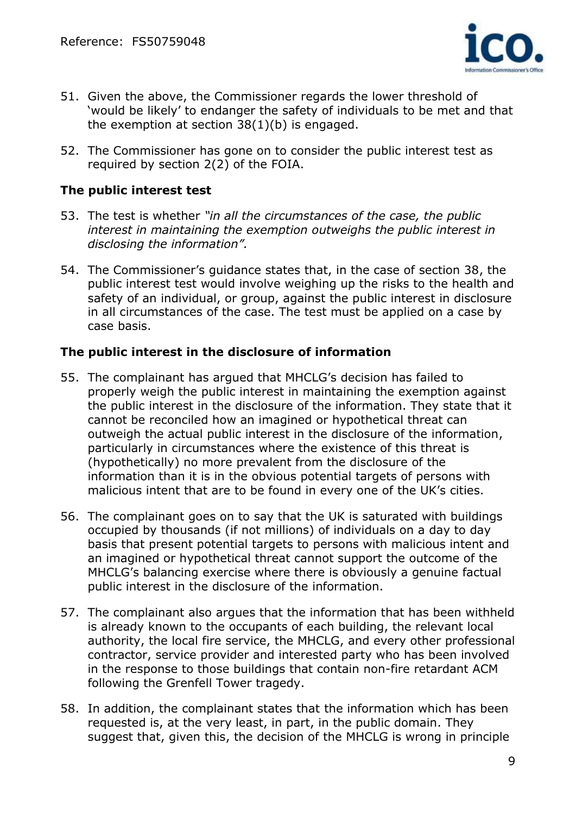

- 51. Given the above, the Commissioner regards the lower threshold of 'would be likely' to endanger the safety of individuals to be met and that the exemption at section 38(1)(b) is engaged.
- 52. The Commissioner has gone on to consider the public interest test as required by section 2(2) of the FOIA.

## **The public interest test**

- 53. The test is whether *"in all the circumstances of the case, the public interest in maintaining the exemption outweighs the public interest in disclosing the information".*
- 54. The Commissioner's guidance states that, in the case of section 38, the public interest test would involve weighing up the risks to the health and safety of an individual, or group, against the public interest in disclosure in all circumstances of the case. The test must be applied on a case by case basis.

## **The public interest in the disclosure of information**

- 55. The complainant has argued that MHCLG's decision has failed to properly weigh the public interest in maintaining the exemption against the public interest in the disclosure of the information. They state that it cannot be reconciled how an imagined or hypothetical threat can outweigh the actual public interest in the disclosure of the information, particularly in circumstances where the existence of this threat is (hypothetically) no more prevalent from the disclosure of the information than it is in the obvious potential targets of persons with malicious intent that are to be found in every one of the UK's cities.
- 56. The complainant goes on to say that the UK is saturated with buildings occupied by thousands (if not millions) of individuals on a day to day basis that present potential targets to persons with malicious intent and an imagined or hypothetical threat cannot support the outcome of the MHCLG's balancing exercise where there is obviously a genuine factual public interest in the disclosure of the information.
- 57. The complainant also argues that the information that has been withheld is already known to the occupants of each building, the relevant local authority, the local fire service, the MHCLG, and every other professional contractor, service provider and interested party who has been involved in the response to those buildings that contain non-fire retardant ACM following the Grenfell Tower tragedy.
- 58. In addition, the complainant states that the information which has been requested is, at the very least, in part, in the public domain. They suggest that, given this, the decision of the MHCLG is wrong in principle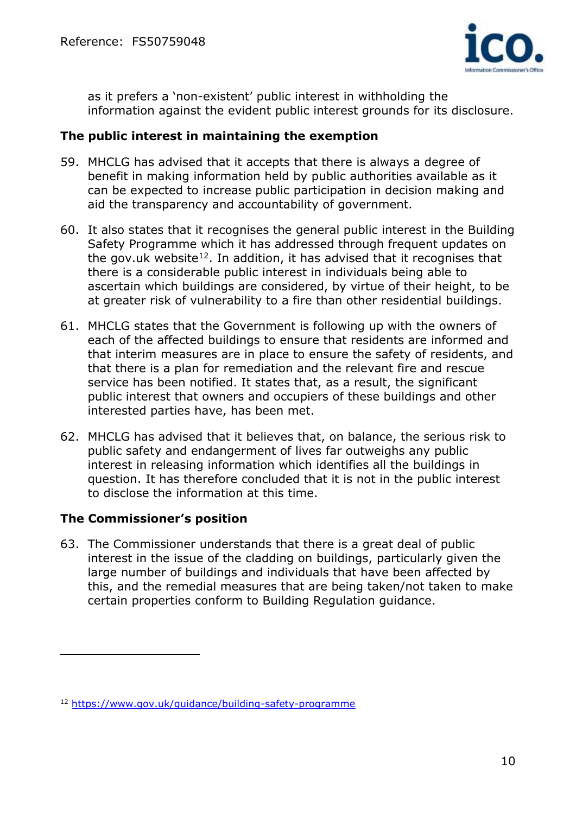

as it prefers a 'non-existent' public interest in withholding the information against the evident public interest grounds for its disclosure.

### **The public interest in maintaining the exemption**

- 59. MHCLG has advised that it accepts that there is always a degree of benefit in making information held by public authorities available as it can be expected to increase public participation in decision making and aid the transparency and accountability of government.
- 60. It also states that it recognises the general public interest in the Building Safety Programme which it has addressed through frequent updates on the gov.uk website<sup>12</sup>. In addition, it has advised that it recognises that there is a considerable public interest in individuals being able to ascertain which buildings are considered, by virtue of their height, to be at greater risk of vulnerability to a fire than other residential buildings.
- 61. MHCLG states that the Government is following up with the owners of each of the affected buildings to ensure that residents are informed and that interim measures are in place to ensure the safety of residents, and that there is a plan for remediation and the relevant fire and rescue service has been notified. It states that, as a result, the significant public interest that owners and occupiers of these buildings and other interested parties have, has been met.
- 62. MHCLG has advised that it believes that, on balance, the serious risk to public safety and endangerment of lives far outweighs any public interest in releasing information which identifies all the buildings in question. It has therefore concluded that it is not in the public interest to disclose the information at this time.

#### **The Commissioner's position**

 $\overline{a}$ 

63. The Commissioner understands that there is a great deal of public interest in the issue of the cladding on buildings, particularly given the large number of buildings and individuals that have been affected by this, and the remedial measures that are being taken/not taken to make certain properties conform to Building Regulation guidance.

<sup>12</sup> <https://www.gov.uk/guidance/building-safety-programme>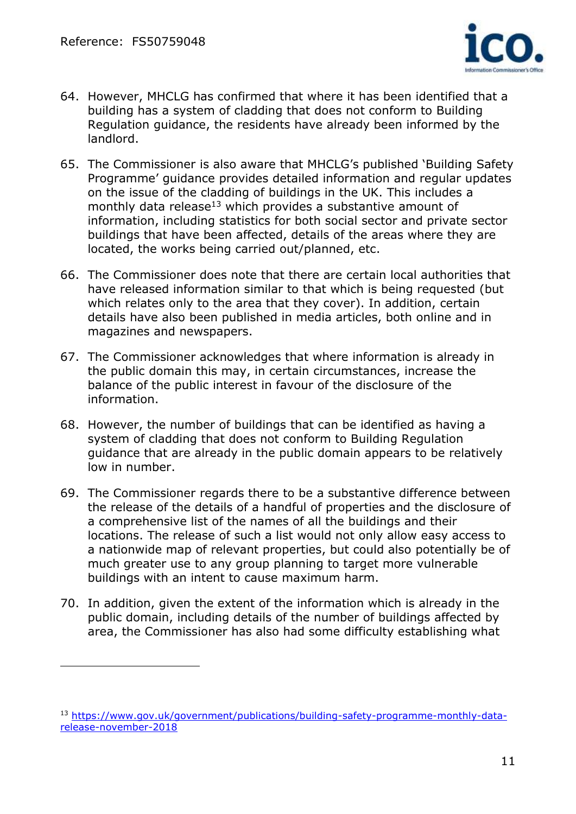

- 64. However, MHCLG has confirmed that where it has been identified that a building has a system of cladding that does not conform to Building Regulation guidance, the residents have already been informed by the landlord.
- 65. The Commissioner is also aware that MHCLG's published 'Building Safety Programme' guidance provides detailed information and regular updates on the issue of the cladding of buildings in the UK. This includes a monthly data release<sup>13</sup> which provides a substantive amount of information, including statistics for both social sector and private sector buildings that have been affected, details of the areas where they are located, the works being carried out/planned, etc.
- 66. The Commissioner does note that there are certain local authorities that have released information similar to that which is being requested (but which relates only to the area that they cover). In addition, certain details have also been published in media articles, both online and in magazines and newspapers.
- 67. The Commissioner acknowledges that where information is already in the public domain this may, in certain circumstances, increase the balance of the public interest in favour of the disclosure of the information.
- 68. However, the number of buildings that can be identified as having a system of cladding that does not conform to Building Regulation guidance that are already in the public domain appears to be relatively low in number.
- 69. The Commissioner regards there to be a substantive difference between the release of the details of a handful of properties and the disclosure of a comprehensive list of the names of all the buildings and their locations. The release of such a list would not only allow easy access to a nationwide map of relevant properties, but could also potentially be of much greater use to any group planning to target more vulnerable buildings with an intent to cause maximum harm.
- 70. In addition, given the extent of the information which is already in the public domain, including details of the number of buildings affected by area, the Commissioner has also had some difficulty establishing what

<sup>13</sup> [https://www.gov.uk/government/publications/building-safety-programme-monthly-data](https://www.gov.uk/government/publications/building-safety-programme-monthly-data-release-november-2018)[release-november-2018](https://www.gov.uk/government/publications/building-safety-programme-monthly-data-release-november-2018)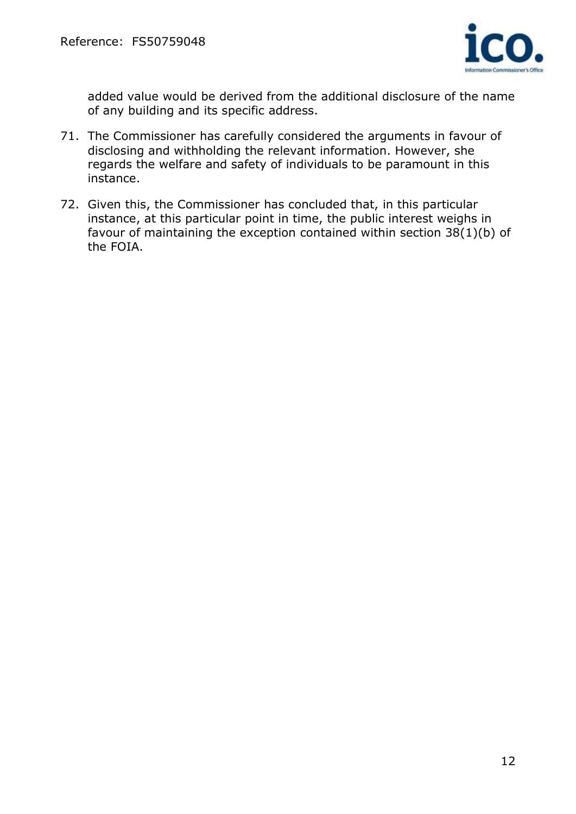

added value would be derived from the additional disclosure of the name of any building and its specific address.

- 71. The Commissioner has carefully considered the arguments in favour of disclosing and withholding the relevant information. However, she regards the welfare and safety of individuals to be paramount in this instance.
- 72. Given this, the Commissioner has concluded that, in this particular instance, at this particular point in time, the public interest weighs in favour of maintaining the exception contained within section 38(1)(b) of the FOIA.